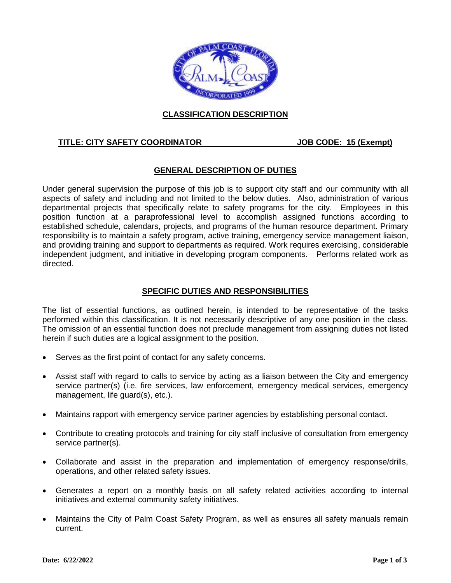

## **CLASSIFICATION DESCRIPTION**

#### **TITLE: CITY SAFETY COORDINATOR JOB CODE: 15 (Exempt)**

#### **GENERAL DESCRIPTION OF DUTIES**

Under general supervision the purpose of this job is to support city staff and our community with all aspects of safety and including and not limited to the below duties. Also, administration of various departmental projects that specifically relate to safety programs for the city. Employees in this position function at a paraprofessional level to accomplish assigned functions according to established schedule, calendars, projects, and programs of the human resource department. Primary responsibility is to maintain a safety program, active training, emergency service management liaison, and providing training and support to departments as required. Work requires exercising, considerable independent judgment, and initiative in developing program components. Performs related work as directed.

## **SPECIFIC DUTIES AND RESPONSIBILITIES**

The list of essential functions, as outlined herein, is intended to be representative of the tasks performed within this classification. It is not necessarily descriptive of any one position in the class. The omission of an essential function does not preclude management from assigning duties not listed herein if such duties are a logical assignment to the position.

- Serves as the first point of contact for any safety concerns.
- Assist staff with regard to calls to service by acting as a liaison between the City and emergency service partner(s) (i.e. fire services, law enforcement, emergency medical services, emergency management, life guard(s), etc.).
- Maintains rapport with emergency service partner agencies by establishing personal contact.
- Contribute to creating protocols and training for city staff inclusive of consultation from emergency service partner(s).
- Collaborate and assist in the preparation and implementation of emergency response/drills, operations, and other related safety issues.
- Generates a report on a monthly basis on all safety related activities according to internal initiatives and external community safety initiatives.
- Maintains the City of Palm Coast Safety Program, as well as ensures all safety manuals remain current.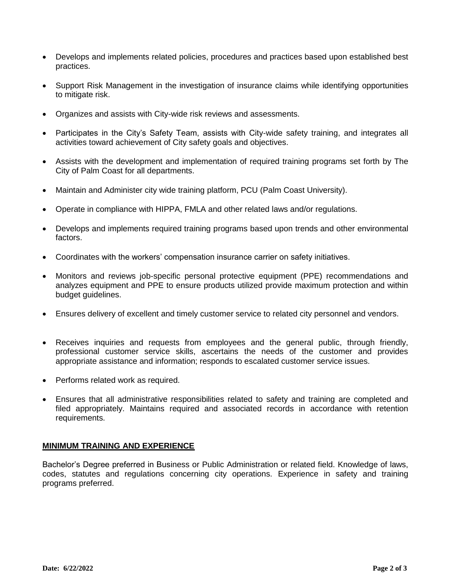- Develops and implements related policies, procedures and practices based upon established best practices.
- Support Risk Management in the investigation of insurance claims while identifying opportunities to mitigate risk.
- Organizes and assists with City-wide risk reviews and assessments.
- Participates in the City's Safety Team, assists with City-wide safety training, and integrates all activities toward achievement of City safety goals and objectives.
- Assists with the development and implementation of required training programs set forth by The City of Palm Coast for all departments.
- Maintain and Administer city wide training platform, PCU (Palm Coast University).
- Operate in compliance with HIPPA, FMLA and other related laws and/or regulations.
- Develops and implements required training programs based upon trends and other environmental factors.
- Coordinates with the workers' compensation insurance carrier on safety initiatives.
- Monitors and reviews job-specific personal protective equipment (PPE) recommendations and analyzes equipment and PPE to ensure products utilized provide maximum protection and within budget guidelines.
- Ensures delivery of excellent and timely customer service to related city personnel and vendors.
- Receives inquiries and requests from employees and the general public, through friendly, professional customer service skills, ascertains the needs of the customer and provides appropriate assistance and information; responds to escalated customer service issues.
- Performs related work as required.
- Ensures that all administrative responsibilities related to safety and training are completed and filed appropriately. Maintains required and associated records in accordance with retention requirements.

#### **MINIMUM TRAINING AND EXPERIENCE**

Bachelor's Degree preferred in Business or Public Administration or related field. Knowledge of laws, codes, statutes and regulations concerning city operations. Experience in safety and training programs preferred.